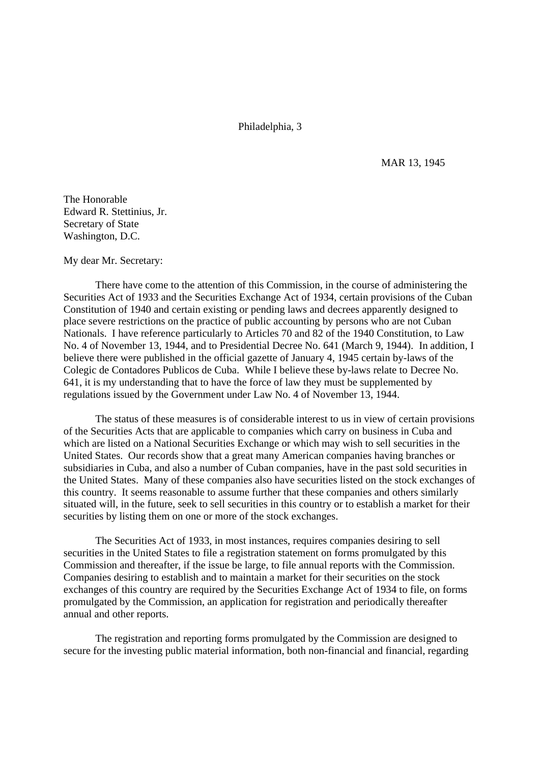Philadelphia, 3

MAR 13, 1945

The Honorable Edward R. Stettinius, Jr. Secretary of State Washington, D.C.

My dear Mr. Secretary:

There have come to the attention of this Commission, in the course of administering the Securities Act of 1933 and the Securities Exchange Act of 1934, certain provisions of the Cuban Constitution of 1940 and certain existing or pending laws and decrees apparently designed to place severe restrictions on the practice of public accounting by persons who are not Cuban Nationals. I have reference particularly to Articles 70 and 82 of the 1940 Constitution, to Law No. 4 of November 13, 1944, and to Presidential Decree No. 641 (March 9, 1944). In addition, I believe there were published in the official gazette of January 4, 1945 certain by-laws of the Colegic de Contadores Publicos de Cuba. While I believe these by-laws relate to Decree No. 641, it is my understanding that to have the force of law they must be supplemented by regulations issued by the Government under Law No. 4 of November 13, 1944.

The status of these measures is of considerable interest to us in view of certain provisions of the Securities Acts that are applicable to companies which carry on business in Cuba and which are listed on a National Securities Exchange or which may wish to sell securities in the United States. Our records show that a great many American companies having branches or subsidiaries in Cuba, and also a number of Cuban companies, have in the past sold securities in the United States. Many of these companies also have securities listed on the stock exchanges of this country. It seems reasonable to assume further that these companies and others similarly situated will, in the future, seek to sell securities in this country or to establish a market for their securities by listing them on one or more of the stock exchanges.

The Securities Act of 1933, in most instances, requires companies desiring to sell securities in the United States to file a registration statement on forms promulgated by this Commission and thereafter, if the issue be large, to file annual reports with the Commission. Companies desiring to establish and to maintain a market for their securities on the stock exchanges of this country are required by the Securities Exchange Act of 1934 to file, on forms promulgated by the Commission, an application for registration and periodically thereafter annual and other reports.

The registration and reporting forms promulgated by the Commission are designed to secure for the investing public material information, both non-financial and financial, regarding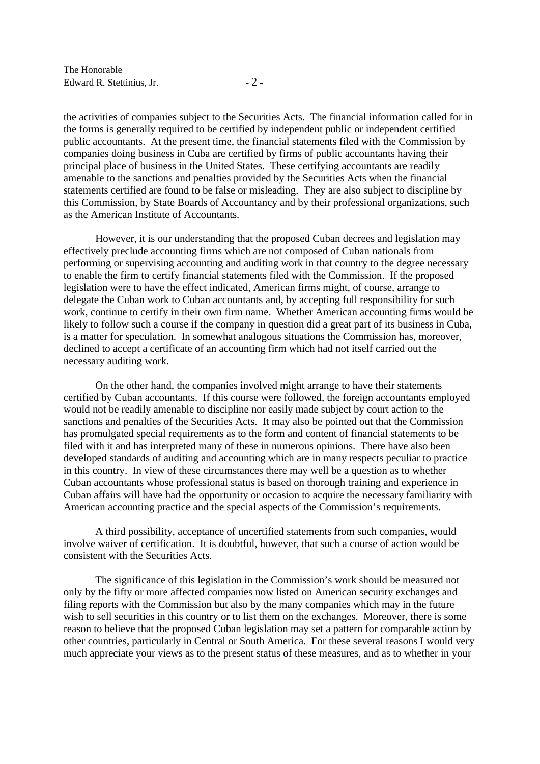the activities of companies subject to the Securities Acts. The financial information called for in the forms is generally required to be certified by independent public or independent certified public accountants. At the present time, the financial statements filed with the Commission by companies doing business in Cuba are certified by firms of public accountants having their principal place of business in the United States. These certifying accountants are readily amenable to the sanctions and penalties provided by the Securities Acts when the financial statements certified are found to be false or misleading. They are also subject to discipline by this Commission, by State Boards of Accountancy and by their professional organizations, such as the American Institute of Accountants.

However, it is our understanding that the proposed Cuban decrees and legislation may effectively preclude accounting firms which are not composed of Cuban nationals from performing or supervising accounting and auditing work in that country to the degree necessary to enable the firm to certify financial statements filed with the Commission. If the proposed legislation were to have the effect indicated, American firms might, of course, arrange to delegate the Cuban work to Cuban accountants and, by accepting full responsibility for such work, continue to certify in their own firm name. Whether American accounting firms would be likely to follow such a course if the company in question did a great part of its business in Cuba, is a matter for speculation. In somewhat analogous situations the Commission has, moreover, declined to accept a certificate of an accounting firm which had not itself carried out the necessary auditing work.

On the other hand, the companies involved might arrange to have their statements certified by Cuban accountants. If this course were followed, the foreign accountants employed would not be readily amenable to discipline nor easily made subject by court action to the sanctions and penalties of the Securities Acts. It may also be pointed out that the Commission has promulgated special requirements as to the form and content of financial statements to be filed with it and has interpreted many of these in numerous opinions. There have also been developed standards of auditing and accounting which are in many respects peculiar to practice in this country. In view of these circumstances there may well be a question as to whether Cuban accountants whose professional status is based on thorough training and experience in Cuban affairs will have had the opportunity or occasion to acquire the necessary familiarity with American accounting practice and the special aspects of the Commission's requirements.

A third possibility, acceptance of uncertified statements from such companies, would involve waiver of certification. It is doubtful, however, that such a course of action would be consistent with the Securities Acts.

The significance of this legislation in the Commission's work should be measured not only by the fifty or more affected companies now listed on American security exchanges and filing reports with the Commission but also by the many companies which may in the future wish to sell securities in this country or to list them on the exchanges. Moreover, there is some reason to believe that the proposed Cuban legislation may set a pattern for comparable action by other countries, particularly in Central or South America. For these several reasons I would very much appreciate your views as to the present status of these measures, and as to whether in your